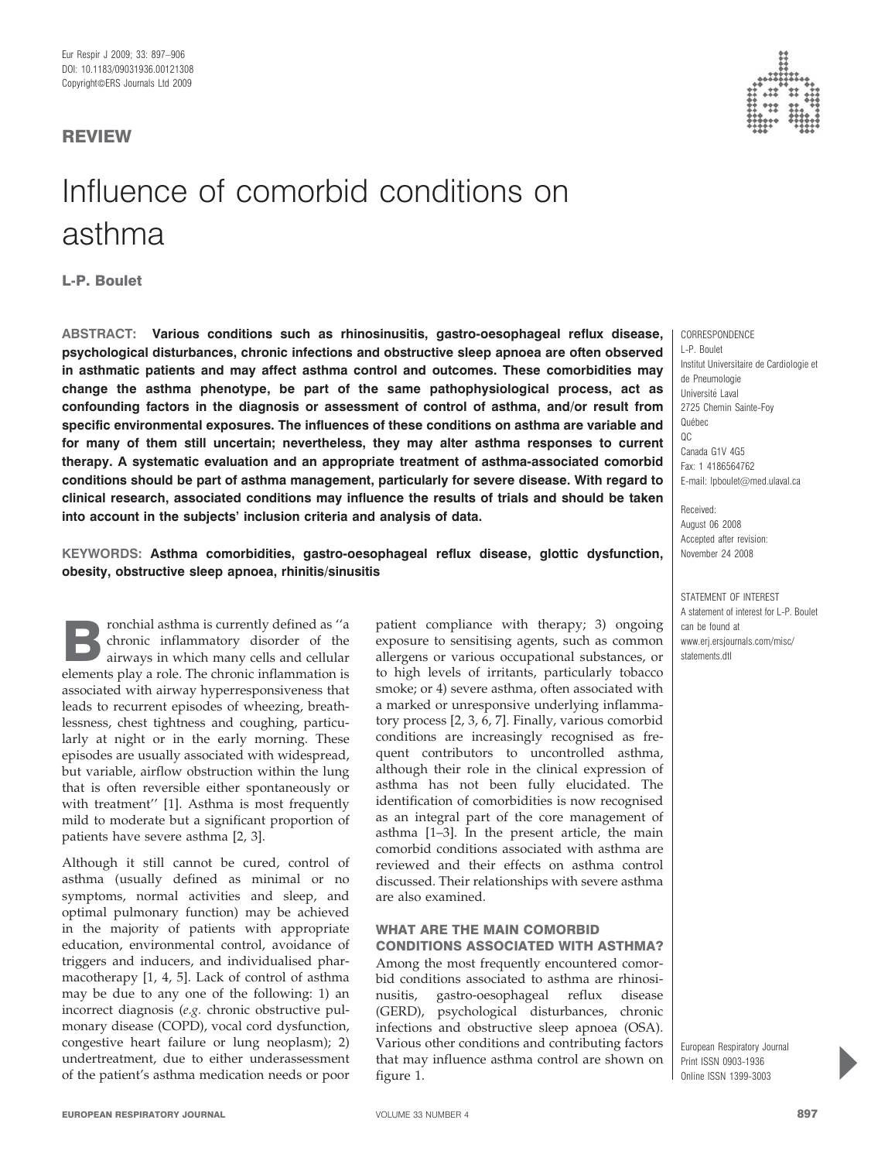# REVIEW

# Influence of comorbid conditions on asthma

L-P. Boulet

ABSTRACT: Various conditions such as rhinosinusitis, gastro-oesophageal reflux disease, psychological disturbances, chronic infections and obstructive sleep apnoea are often observed in asthmatic patients and may affect asthma control and outcomes. These comorbidities may change the asthma phenotype, be part of the same pathophysiological process, act as confounding factors in the diagnosis or assessment of control of asthma, and/or result from specific environmental exposures. The influences of these conditions on asthma are variable and for many of them still uncertain; nevertheless, they may alter asthma responses to current therapy. A systematic evaluation and an appropriate treatment of asthma-associated comorbid conditions should be part of asthma management, particularly for severe disease. With regard to clinical research, associated conditions may influence the results of trials and should be taken into account in the subjects' inclusion criteria and analysis of data.

KEYWORDS: Asthma comorbidities, gastro-oesophageal reflux disease, glottic dysfunction, obesity, obstructive sleep apnoea, rhinitis/sinusitis

ronchial asthma is currently defined as "a chronic inflammatory disorder of the airways in which many cells and cellular elements play a role. The chronic inflammation is associated with airway hyperresponsiveness that leads to recurrent episodes of wheezing, breathlessness, chest tightness and coughing, particularly at night or in the early morning. These episodes are usually associated with widespread, but variable, airflow obstruction within the lung that is often reversible either spontaneously or with treatment'' [1]. Asthma is most frequently mild to moderate but a significant proportion of patients have severe asthma [2, 3].

Although it still cannot be cured, control of asthma (usually defined as minimal or no symptoms, normal activities and sleep, and optimal pulmonary function) may be achieved in the majority of patients with appropriate education, environmental control, avoidance of triggers and inducers, and individualised pharmacotherapy [1, 4, 5]. Lack of control of asthma may be due to any one of the following: 1) an incorrect diagnosis (e.g. chronic obstructive pulmonary disease (COPD), vocal cord dysfunction, congestive heart failure or lung neoplasm); 2) undertreatment, due to either underassessment of the patient's asthma medication needs or poor patient compliance with therapy; 3) ongoing exposure to sensitising agents, such as common allergens or various occupational substances, or to high levels of irritants, particularly tobacco smoke; or 4) severe asthma, often associated with a marked or unresponsive underlying inflammatory process [2, 3, 6, 7]. Finally, various comorbid conditions are increasingly recognised as frequent contributors to uncontrolled asthma, although their role in the clinical expression of asthma has not been fully elucidated. The identification of comorbidities is now recognised as an integral part of the core management of asthma [1–3]. In the present article, the main comorbid conditions associated with asthma are reviewed and their effects on asthma control discussed. Their relationships with severe asthma are also examined.

## WHAT ARE THE MAIN COMORBID CONDITIONS ASSOCIATED WITH ASTHMA?

Among the most frequently encountered comorbid conditions associated to asthma are rhinosinusitis, gastro-oesophageal reflux disease (GERD), psychological disturbances, chronic infections and obstructive sleep apnoea (OSA). Various other conditions and contributing factors that may influence asthma control are shown on figure 1.



**CORRESPONDENCE** L-P. Boulet Institut Universitaire de Cardiologie et de Pneumologie Universite´ Laval 2725 Chemin Sainte-Foy Québec  $OC$ Canada G1V 4G5 Fax: 1 4186564762 E-mail: lpboulet@med.ulaval.ca

Received: August 06 2008 Accepted after revision: November 24 2008

STATEMENT OF INTEREST A statement of interest for L-P. Boulet can be found at www.erj.ersjournals.com/misc/ statements.dtl

European Respiratory Journal Print ISSN 0903-1936 Online ISSN 1399-3003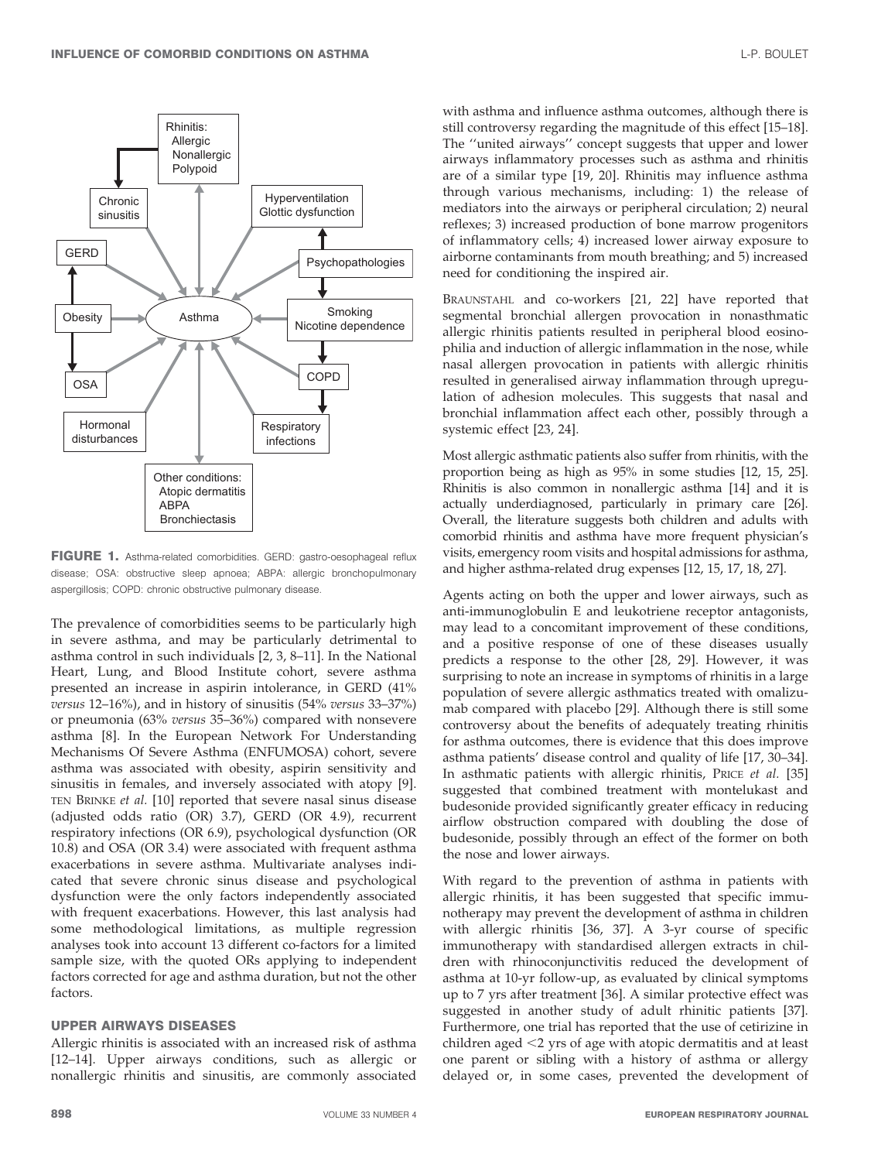

FIGURE 1. Asthma-related comorbidities. GERD: gastro-oesophageal reflux disease; OSA: obstructive sleep apnoea; ABPA: allergic bronchopulmonary aspergillosis; COPD: chronic obstructive pulmonary disease.

The prevalence of comorbidities seems to be particularly high in severe asthma, and may be particularly detrimental to asthma control in such individuals [2, 3, 8–11]. In the National Heart, Lung, and Blood Institute cohort, severe asthma presented an increase in aspirin intolerance, in GERD (41% versus 12–16%), and in history of sinusitis (54% versus 33–37%) or pneumonia (63% versus 35–36%) compared with nonsevere asthma [8]. In the European Network For Understanding Mechanisms Of Severe Asthma (ENFUMOSA) cohort, severe asthma was associated with obesity, aspirin sensitivity and sinusitis in females, and inversely associated with atopy [9]. TEN BRINKE et al. [10] reported that severe nasal sinus disease (adjusted odds ratio (OR) 3.7), GERD (OR 4.9), recurrent respiratory infections (OR 6.9), psychological dysfunction (OR 10.8) and OSA (OR 3.4) were associated with frequent asthma exacerbations in severe asthma. Multivariate analyses indicated that severe chronic sinus disease and psychological dysfunction were the only factors independently associated with frequent exacerbations. However, this last analysis had some methodological limitations, as multiple regression analyses took into account 13 different co-factors for a limited sample size, with the quoted ORs applying to independent factors corrected for age and asthma duration, but not the other factors.

#### UPPER AIRWAYS DISEASES

Allergic rhinitis is associated with an increased risk of asthma [12–14]. Upper airways conditions, such as allergic or nonallergic rhinitis and sinusitis, are commonly associated with asthma and influence asthma outcomes, although there is still controversy regarding the magnitude of this effect [15–18]. The ''united airways'' concept suggests that upper and lower airways inflammatory processes such as asthma and rhinitis are of a similar type [19, 20]. Rhinitis may influence asthma through various mechanisms, including: 1) the release of mediators into the airways or peripheral circulation; 2) neural reflexes; 3) increased production of bone marrow progenitors of inflammatory cells; 4) increased lower airway exposure to airborne contaminants from mouth breathing; and 5) increased need for conditioning the inspired air.

BRAUNSTAHL and co-workers [21, 22] have reported that segmental bronchial allergen provocation in nonasthmatic allergic rhinitis patients resulted in peripheral blood eosinophilia and induction of allergic inflammation in the nose, while nasal allergen provocation in patients with allergic rhinitis resulted in generalised airway inflammation through upregulation of adhesion molecules. This suggests that nasal and bronchial inflammation affect each other, possibly through a systemic effect [23, 24].

Most allergic asthmatic patients also suffer from rhinitis, with the proportion being as high as 95% in some studies [12, 15, 25]. Rhinitis is also common in nonallergic asthma [14] and it is actually underdiagnosed, particularly in primary care [26]. Overall, the literature suggests both children and adults with comorbid rhinitis and asthma have more frequent physician's visits, emergency room visits and hospital admissions for asthma, and higher asthma-related drug expenses [12, 15, 17, 18, 27].

Agents acting on both the upper and lower airways, such as anti-immunoglobulin E and leukotriene receptor antagonists, may lead to a concomitant improvement of these conditions, and a positive response of one of these diseases usually predicts a response to the other [28, 29]. However, it was surprising to note an increase in symptoms of rhinitis in a large population of severe allergic asthmatics treated with omalizumab compared with placebo [29]. Although there is still some controversy about the benefits of adequately treating rhinitis for asthma outcomes, there is evidence that this does improve asthma patients' disease control and quality of life [17, 30–34]. In asthmatic patients with allergic rhinitis, PRICE et al. [35] suggested that combined treatment with montelukast and budesonide provided significantly greater efficacy in reducing airflow obstruction compared with doubling the dose of budesonide, possibly through an effect of the former on both the nose and lower airways.

With regard to the prevention of asthma in patients with allergic rhinitis, it has been suggested that specific immunotherapy may prevent the development of asthma in children with allergic rhinitis [36, 37]. A 3-yr course of specific immunotherapy with standardised allergen extracts in children with rhinoconjunctivitis reduced the development of asthma at 10-yr follow-up, as evaluated by clinical symptoms up to 7 yrs after treatment [36]. A similar protective effect was suggested in another study of adult rhinitic patients [37]. Furthermore, one trial has reported that the use of cetirizine in children aged  $<$ 2 yrs of age with atopic dermatitis and at least one parent or sibling with a history of asthma or allergy delayed or, in some cases, prevented the development of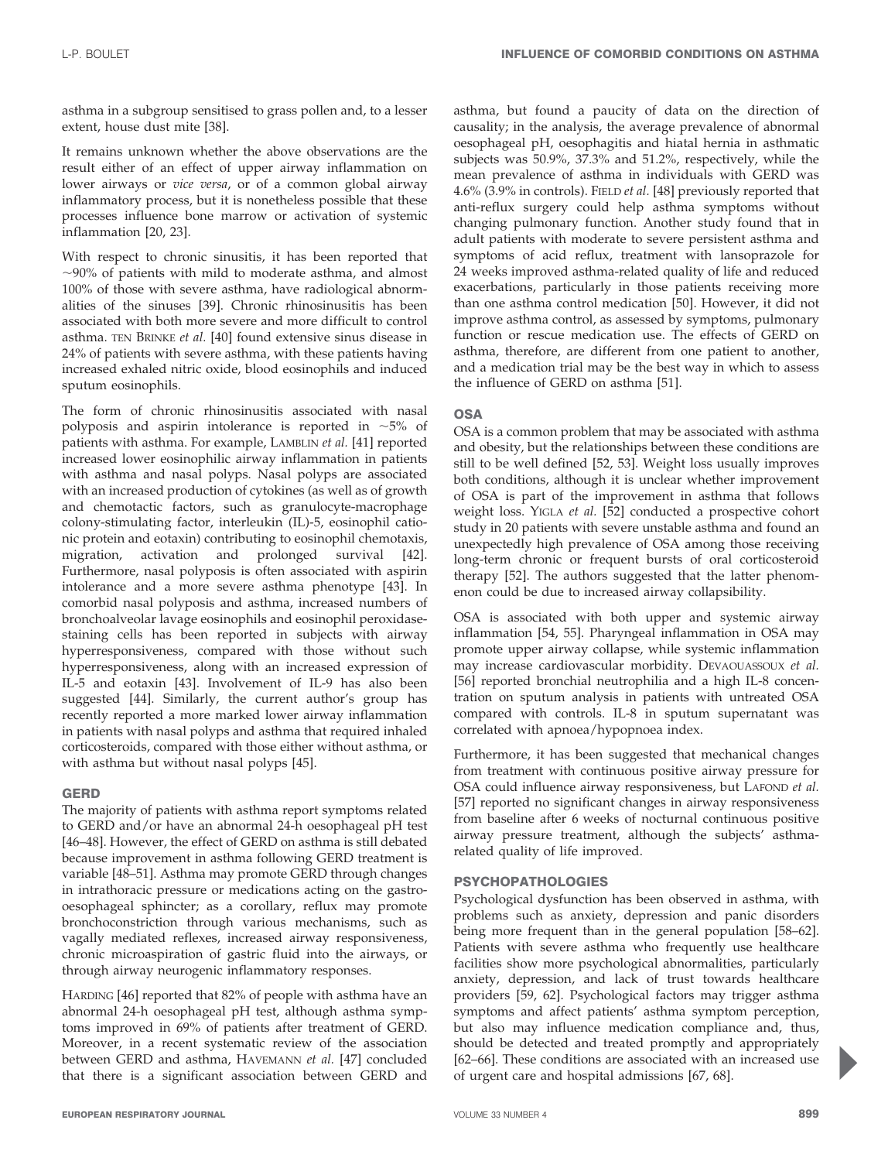asthma in a subgroup sensitised to grass pollen and, to a lesser extent, house dust mite [38].

It remains unknown whether the above observations are the result either of an effect of upper airway inflammation on lower airways or vice versa, or of a common global airway inflammatory process, but it is nonetheless possible that these processes influence bone marrow or activation of systemic inflammation [20, 23].

With respect to chronic sinusitis, it has been reported that  $\sim$ 90% of patients with mild to moderate asthma, and almost 100% of those with severe asthma, have radiological abnormalities of the sinuses [39]. Chronic rhinosinusitis has been associated with both more severe and more difficult to control asthma. TEN BRINKE et al. [40] found extensive sinus disease in 24% of patients with severe asthma, with these patients having increased exhaled nitric oxide, blood eosinophils and induced sputum eosinophils.

The form of chronic rhinosinusitis associated with nasal polyposis and aspirin intolerance is reported in  $\sim$ 5% of patients with asthma. For example, LAMBLIN et al. [41] reported increased lower eosinophilic airway inflammation in patients with asthma and nasal polyps. Nasal polyps are associated with an increased production of cytokines (as well as of growth and chemotactic factors, such as granulocyte-macrophage colony-stimulating factor, interleukin (IL)-5, eosinophil cationic protein and eotaxin) contributing to eosinophil chemotaxis, migration, activation and prolonged survival [42]. Furthermore, nasal polyposis is often associated with aspirin intolerance and a more severe asthma phenotype [43]. In comorbid nasal polyposis and asthma, increased numbers of bronchoalveolar lavage eosinophils and eosinophil peroxidasestaining cells has been reported in subjects with airway hyperresponsiveness, compared with those without such hyperresponsiveness, along with an increased expression of IL-5 and eotaxin [43]. Involvement of IL-9 has also been suggested [44]. Similarly, the current author's group has recently reported a more marked lower airway inflammation in patients with nasal polyps and asthma that required inhaled corticosteroids, compared with those either without asthma, or with asthma but without nasal polyps [45].

#### GERD

The majority of patients with asthma report symptoms related to GERD and/or have an abnormal 24-h oesophageal pH test [46–48]. However, the effect of GERD on asthma is still debated because improvement in asthma following GERD treatment is variable [48–51]. Asthma may promote GERD through changes in intrathoracic pressure or medications acting on the gastrooesophageal sphincter; as a corollary, reflux may promote bronchoconstriction through various mechanisms, such as vagally mediated reflexes, increased airway responsiveness, chronic microaspiration of gastric fluid into the airways, or through airway neurogenic inflammatory responses.

HARDING [46] reported that 82% of people with asthma have an abnormal 24-h oesophageal pH test, although asthma symptoms improved in 69% of patients after treatment of GERD. Moreover, in a recent systematic review of the association between GERD and asthma, HAVEMANN et al. [47] concluded that there is a significant association between GERD and asthma, but found a paucity of data on the direction of causality; in the analysis, the average prevalence of abnormal oesophageal pH, oesophagitis and hiatal hernia in asthmatic subjects was 50.9%, 37.3% and 51.2%, respectively, while the mean prevalence of asthma in individuals with GERD was 4.6% (3.9% in controls). FIELD et al. [48] previously reported that anti-reflux surgery could help asthma symptoms without changing pulmonary function. Another study found that in adult patients with moderate to severe persistent asthma and symptoms of acid reflux, treatment with lansoprazole for 24 weeks improved asthma-related quality of life and reduced exacerbations, particularly in those patients receiving more than one asthma control medication [50]. However, it did not improve asthma control, as assessed by symptoms, pulmonary function or rescue medication use. The effects of GERD on asthma, therefore, are different from one patient to another, and a medication trial may be the best way in which to assess the influence of GERD on asthma [51].

# **OSA**

OSA is a common problem that may be associated with asthma and obesity, but the relationships between these conditions are still to be well defined [52, 53]. Weight loss usually improves both conditions, although it is unclear whether improvement of OSA is part of the improvement in asthma that follows weight loss. YIGLA et al. [52] conducted a prospective cohort study in 20 patients with severe unstable asthma and found an unexpectedly high prevalence of OSA among those receiving long-term chronic or frequent bursts of oral corticosteroid therapy [52]. The authors suggested that the latter phenomenon could be due to increased airway collapsibility.

OSA is associated with both upper and systemic airway inflammation [54, 55]. Pharyngeal inflammation in OSA may promote upper airway collapse, while systemic inflammation may increase cardiovascular morbidity. DEVAOUASSOUX et al. [56] reported bronchial neutrophilia and a high IL-8 concentration on sputum analysis in patients with untreated OSA compared with controls. IL-8 in sputum supernatant was correlated with apnoea/hypopnoea index.

Furthermore, it has been suggested that mechanical changes from treatment with continuous positive airway pressure for OSA could influence airway responsiveness, but LAFOND et al. [57] reported no significant changes in airway responsiveness from baseline after 6 weeks of nocturnal continuous positive airway pressure treatment, although the subjects' asthmarelated quality of life improved.

# PSYCHOPATHOLOGIES

Psychological dysfunction has been observed in asthma, with problems such as anxiety, depression and panic disorders being more frequent than in the general population [58–62]. Patients with severe asthma who frequently use healthcare facilities show more psychological abnormalities, particularly anxiety, depression, and lack of trust towards healthcare providers [59, 62]. Psychological factors may trigger asthma symptoms and affect patients' asthma symptom perception, but also may influence medication compliance and, thus, should be detected and treated promptly and appropriately [62–66]. These conditions are associated with an increased use of urgent care and hospital admissions [67, 68].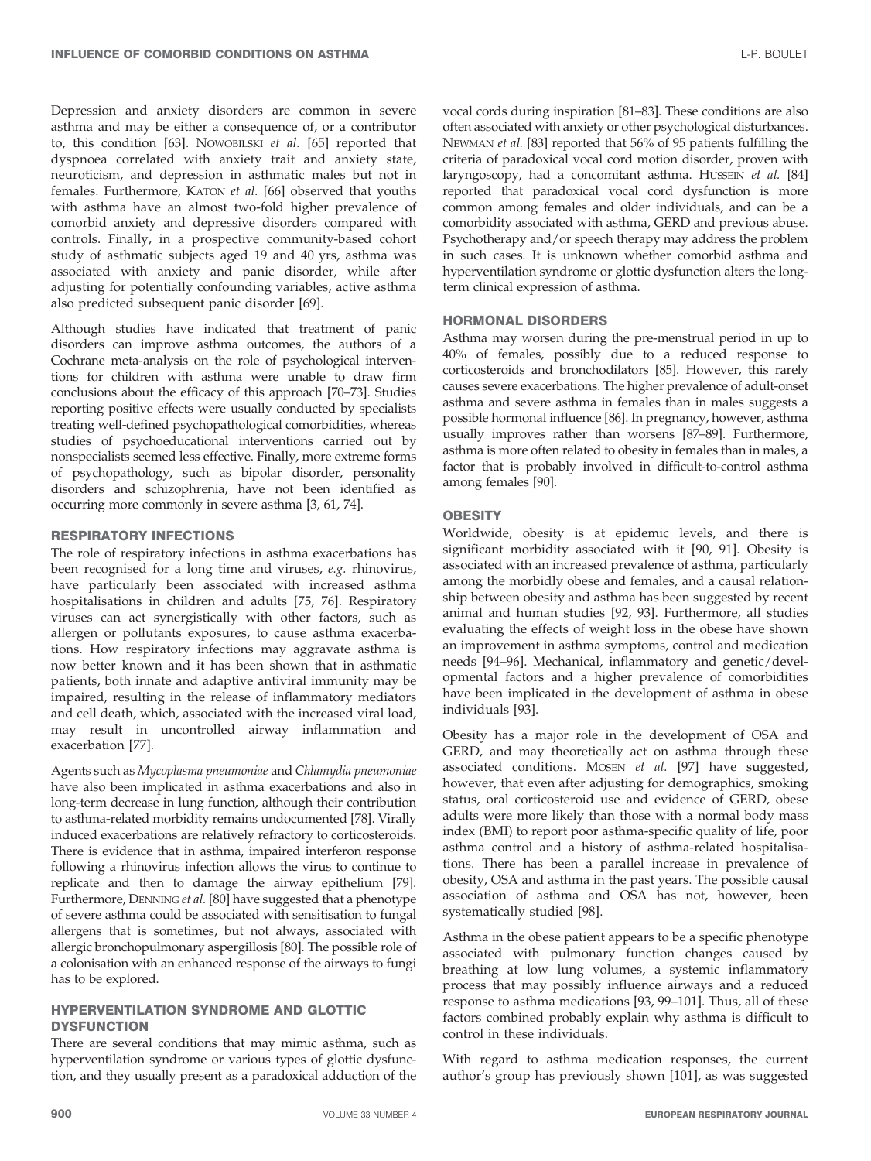Depression and anxiety disorders are common in severe asthma and may be either a consequence of, or a contributor to, this condition [63]. NOWOBILSKI et al. [65] reported that dyspnoea correlated with anxiety trait and anxiety state, neuroticism, and depression in asthmatic males but not in females. Furthermore, KATON et al. [66] observed that youths with asthma have an almost two-fold higher prevalence of comorbid anxiety and depressive disorders compared with controls. Finally, in a prospective community-based cohort study of asthmatic subjects aged 19 and 40 yrs, asthma was associated with anxiety and panic disorder, while after adjusting for potentially confounding variables, active asthma also predicted subsequent panic disorder [69].

Although studies have indicated that treatment of panic disorders can improve asthma outcomes, the authors of a Cochrane meta-analysis on the role of psychological interventions for children with asthma were unable to draw firm conclusions about the efficacy of this approach [70–73]. Studies reporting positive effects were usually conducted by specialists treating well-defined psychopathological comorbidities, whereas studies of psychoeducational interventions carried out by nonspecialists seemed less effective. Finally, more extreme forms of psychopathology, such as bipolar disorder, personality disorders and schizophrenia, have not been identified as occurring more commonly in severe asthma [3, 61, 74].

### RESPIRATORY INFECTIONS

The role of respiratory infections in asthma exacerbations has been recognised for a long time and viruses, e.g. rhinovirus, have particularly been associated with increased asthma hospitalisations in children and adults [75, 76]. Respiratory viruses can act synergistically with other factors, such as allergen or pollutants exposures, to cause asthma exacerbations. How respiratory infections may aggravate asthma is now better known and it has been shown that in asthmatic patients, both innate and adaptive antiviral immunity may be impaired, resulting in the release of inflammatory mediators and cell death, which, associated with the increased viral load, may result in uncontrolled airway inflammation and exacerbation [77].

Agents such as Mycoplasma pneumoniae and Chlamydia pneumoniae have also been implicated in asthma exacerbations and also in long-term decrease in lung function, although their contribution to asthma-related morbidity remains undocumented [78]. Virally induced exacerbations are relatively refractory to corticosteroids. There is evidence that in asthma, impaired interferon response following a rhinovirus infection allows the virus to continue to replicate and then to damage the airway epithelium [79]. Furthermore, DENNING et al. [80] have suggested that a phenotype of severe asthma could be associated with sensitisation to fungal allergens that is sometimes, but not always, associated with allergic bronchopulmonary aspergillosis [80]. The possible role of a colonisation with an enhanced response of the airways to fungi has to be explored.

#### HYPERVENTILATION SYNDROME AND GLOTTIC **DYSFUNCTION**

There are several conditions that may mimic asthma, such as hyperventilation syndrome or various types of glottic dysfunction, and they usually present as a paradoxical adduction of the

vocal cords during inspiration [81–83]. These conditions are also often associated with anxiety or other psychological disturbances. NEWMAN et al. [83] reported that 56% of 95 patients fulfilling the criteria of paradoxical vocal cord motion disorder, proven with laryngoscopy, had a concomitant asthma. HUSSEIN et al. [84] reported that paradoxical vocal cord dysfunction is more common among females and older individuals, and can be a comorbidity associated with asthma, GERD and previous abuse. Psychotherapy and/or speech therapy may address the problem in such cases. It is unknown whether comorbid asthma and hyperventilation syndrome or glottic dysfunction alters the longterm clinical expression of asthma.

#### HORMONAL DISORDERS

Asthma may worsen during the pre-menstrual period in up to 40% of females, possibly due to a reduced response to corticosteroids and bronchodilators [85]. However, this rarely causes severe exacerbations. The higher prevalence of adult-onset asthma and severe asthma in females than in males suggests a possible hormonal influence [86]. In pregnancy, however, asthma usually improves rather than worsens [87–89]. Furthermore, asthma is more often related to obesity in females than in males, a factor that is probably involved in difficult-to-control asthma among females [90].

#### **OBESITY**

Worldwide, obesity is at epidemic levels, and there is significant morbidity associated with it [90, 91]. Obesity is associated with an increased prevalence of asthma, particularly among the morbidly obese and females, and a causal relationship between obesity and asthma has been suggested by recent animal and human studies [92, 93]. Furthermore, all studies evaluating the effects of weight loss in the obese have shown an improvement in asthma symptoms, control and medication needs [94–96]. Mechanical, inflammatory and genetic/developmental factors and a higher prevalence of comorbidities have been implicated in the development of asthma in obese individuals [93].

Obesity has a major role in the development of OSA and GERD, and may theoretically act on asthma through these associated conditions. MOSEN et al. [97] have suggested, however, that even after adjusting for demographics, smoking status, oral corticosteroid use and evidence of GERD, obese adults were more likely than those with a normal body mass index (BMI) to report poor asthma-specific quality of life, poor asthma control and a history of asthma-related hospitalisations. There has been a parallel increase in prevalence of obesity, OSA and asthma in the past years. The possible causal association of asthma and OSA has not, however, been systematically studied [98].

Asthma in the obese patient appears to be a specific phenotype associated with pulmonary function changes caused by breathing at low lung volumes, a systemic inflammatory process that may possibly influence airways and a reduced response to asthma medications [93, 99–101]. Thus, all of these factors combined probably explain why asthma is difficult to control in these individuals.

With regard to asthma medication responses, the current author's group has previously shown [101], as was suggested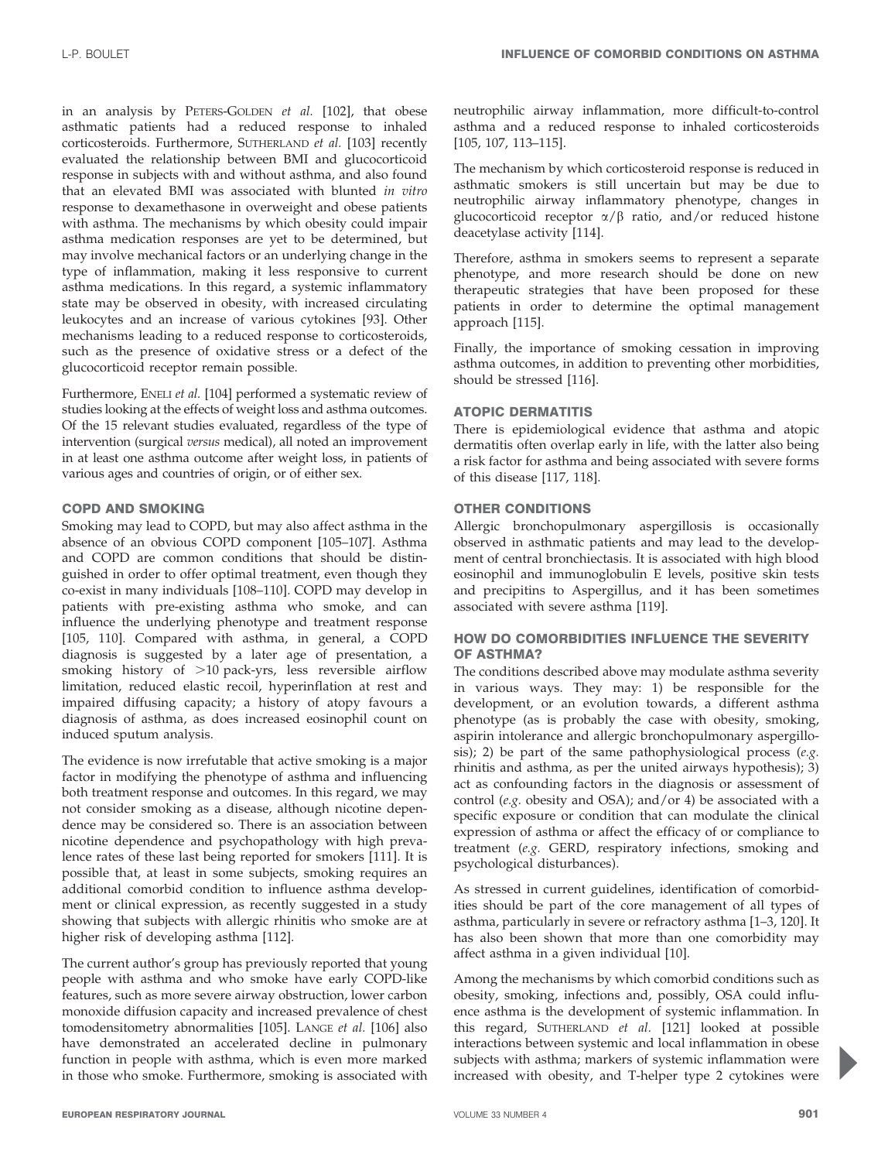in an analysis by PETERS-GOLDEN et al. [102], that obese asthmatic patients had a reduced response to inhaled corticosteroids. Furthermore, SUTHERLAND et al. [103] recently evaluated the relationship between BMI and glucocorticoid response in subjects with and without asthma, and also found that an elevated BMI was associated with blunted in vitro response to dexamethasone in overweight and obese patients with asthma. The mechanisms by which obesity could impair asthma medication responses are yet to be determined, but may involve mechanical factors or an underlying change in the type of inflammation, making it less responsive to current asthma medications. In this regard, a systemic inflammatory state may be observed in obesity, with increased circulating leukocytes and an increase of various cytokines [93]. Other mechanisms leading to a reduced response to corticosteroids, such as the presence of oxidative stress or a defect of the glucocorticoid receptor remain possible.

Furthermore, ENELI et al. [104] performed a systematic review of studies looking at the effects of weight loss and asthma outcomes. Of the 15 relevant studies evaluated, regardless of the type of intervention (surgical versus medical), all noted an improvement in at least one asthma outcome after weight loss, in patients of various ages and countries of origin, or of either sex.

#### COPD AND SMOKING

Smoking may lead to COPD, but may also affect asthma in the absence of an obvious COPD component [105–107]. Asthma and COPD are common conditions that should be distinguished in order to offer optimal treatment, even though they co-exist in many individuals [108–110]. COPD may develop in patients with pre-existing asthma who smoke, and can influence the underlying phenotype and treatment response [105, 110]. Compared with asthma, in general, a COPD diagnosis is suggested by a later age of presentation, a smoking history of >10 pack-yrs, less reversible airflow limitation, reduced elastic recoil, hyperinflation at rest and impaired diffusing capacity; a history of atopy favours a diagnosis of asthma, as does increased eosinophil count on induced sputum analysis.

The evidence is now irrefutable that active smoking is a major factor in modifying the phenotype of asthma and influencing both treatment response and outcomes. In this regard, we may not consider smoking as a disease, although nicotine dependence may be considered so. There is an association between nicotine dependence and psychopathology with high prevalence rates of these last being reported for smokers [111]. It is possible that, at least in some subjects, smoking requires an additional comorbid condition to influence asthma development or clinical expression, as recently suggested in a study showing that subjects with allergic rhinitis who smoke are at higher risk of developing asthma [112].

The current author's group has previously reported that young people with asthma and who smoke have early COPD-like features, such as more severe airway obstruction, lower carbon monoxide diffusion capacity and increased prevalence of chest tomodensitometry abnormalities [105]. LANGE et al. [106] also have demonstrated an accelerated decline in pulmonary function in people with asthma, which is even more marked in those who smoke. Furthermore, smoking is associated with neutrophilic airway inflammation, more difficult-to-control asthma and a reduced response to inhaled corticosteroids [105, 107, 113–115].

The mechanism by which corticosteroid response is reduced in asthmatic smokers is still uncertain but may be due to neutrophilic airway inflammatory phenotype, changes in glucocorticoid receptor  $\alpha/\beta$  ratio, and/or reduced histone deacetylase activity [114].

Therefore, asthma in smokers seems to represent a separate phenotype, and more research should be done on new therapeutic strategies that have been proposed for these patients in order to determine the optimal management approach [115].

Finally, the importance of smoking cessation in improving asthma outcomes, in addition to preventing other morbidities, should be stressed [116].

## ATOPIC DERMATITIS

There is epidemiological evidence that asthma and atopic dermatitis often overlap early in life, with the latter also being a risk factor for asthma and being associated with severe forms of this disease [117, 118].

# OTHER CONDITIONS

Allergic bronchopulmonary aspergillosis is occasionally observed in asthmatic patients and may lead to the development of central bronchiectasis. It is associated with high blood eosinophil and immunoglobulin E levels, positive skin tests and precipitins to Aspergillus, and it has been sometimes associated with severe asthma [119].

## HOW DO COMORBIDITIES INFLUENCE THE SEVERITY OF ASTHMA?

The conditions described above may modulate asthma severity in various ways. They may: 1) be responsible for the development, or an evolution towards, a different asthma phenotype (as is probably the case with obesity, smoking, aspirin intolerance and allergic bronchopulmonary aspergillosis); 2) be part of the same pathophysiological process  $(e.g.,)$ rhinitis and asthma, as per the united airways hypothesis); 3) act as confounding factors in the diagnosis or assessment of control (e.g. obesity and OSA); and/or 4) be associated with a specific exposure or condition that can modulate the clinical expression of asthma or affect the efficacy of or compliance to treatment (e.g. GERD, respiratory infections, smoking and psychological disturbances).

As stressed in current guidelines, identification of comorbidities should be part of the core management of all types of asthma, particularly in severe or refractory asthma [1–3, 120]. It has also been shown that more than one comorbidity may affect asthma in a given individual [10].

Among the mechanisms by which comorbid conditions such as obesity, smoking, infections and, possibly, OSA could influence asthma is the development of systemic inflammation. In this regard, SUTHERLAND et al. [121] looked at possible interactions between systemic and local inflammation in obese subjects with asthma; markers of systemic inflammation were increased with obesity, and T-helper type 2 cytokines were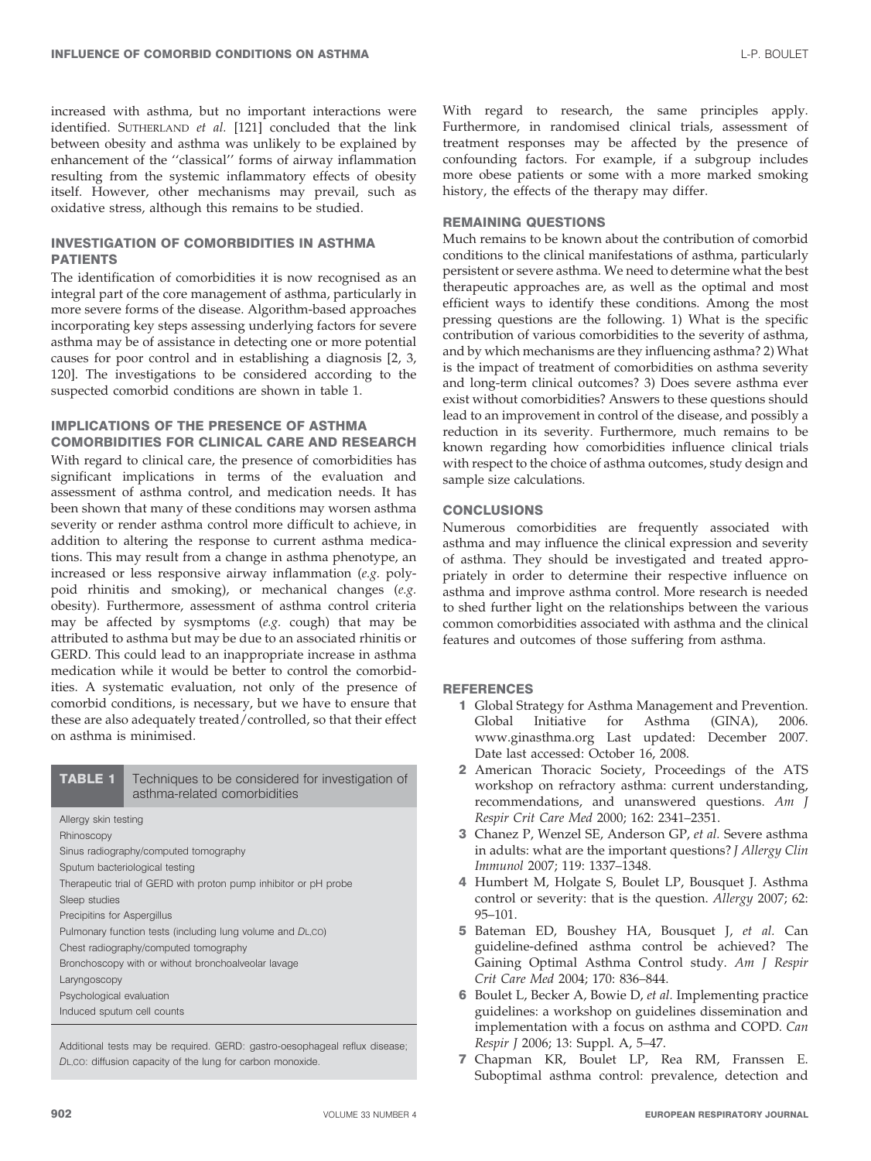increased with asthma, but no important interactions were identified. SUTHERLAND et al. [121] concluded that the link between obesity and asthma was unlikely to be explained by enhancement of the ''classical'' forms of airway inflammation resulting from the systemic inflammatory effects of obesity itself. However, other mechanisms may prevail, such as oxidative stress, although this remains to be studied.

### INVESTIGATION OF COMORBIDITIES IN ASTHMA PATIENTS

The identification of comorbidities it is now recognised as an integral part of the core management of asthma, particularly in more severe forms of the disease. Algorithm-based approaches incorporating key steps assessing underlying factors for severe asthma may be of assistance in detecting one or more potential causes for poor control and in establishing a diagnosis [2, 3, 120]. The investigations to be considered according to the suspected comorbid conditions are shown in table 1.

#### IMPLICATIONS OF THE PRESENCE OF ASTHMA COMORBIDITIES FOR CLINICAL CARE AND RESEARCH

With regard to clinical care, the presence of comorbidities has significant implications in terms of the evaluation and assessment of asthma control, and medication needs. It has been shown that many of these conditions may worsen asthma severity or render asthma control more difficult to achieve, in addition to altering the response to current asthma medications. This may result from a change in asthma phenotype, an increased or less responsive airway inflammation (e.g. polypoid rhinitis and smoking), or mechanical changes (e.g. obesity). Furthermore, assessment of asthma control criteria may be affected by sysmptoms (e.g. cough) that may be attributed to asthma but may be due to an associated rhinitis or GERD. This could lead to an inappropriate increase in asthma medication while it would be better to control the comorbidities. A systematic evaluation, not only of the presence of comorbid conditions, is necessary, but we have to ensure that these are also adequately treated/controlled, so that their effect on asthma is minimised.

| <b>TABLE 1</b>                                                   | Techniques to be considered for investigation of<br>asthma-related comorbidities |
|------------------------------------------------------------------|----------------------------------------------------------------------------------|
| Allergy skin testing                                             |                                                                                  |
| Rhinoscopy                                                       |                                                                                  |
| Sinus radiography/computed tomography                            |                                                                                  |
| Sputum bacteriological testing                                   |                                                                                  |
| Therapeutic trial of GERD with proton pump inhibitor or pH probe |                                                                                  |
| Sleep studies                                                    |                                                                                  |
| Precipitins for Aspergillus                                      |                                                                                  |
| Pulmonary function tests (including lung volume and DL,CO)       |                                                                                  |
| Chest radiography/computed tomography                            |                                                                                  |
| Bronchoscopy with or without bronchoalveolar lavage              |                                                                                  |
| Laryngoscopy                                                     |                                                                                  |
| Psychological evaluation                                         |                                                                                  |
| Induced sputum cell counts                                       |                                                                                  |

Additional tests may be required. GERD: gastro-oesophageal reflux disease: DL,CO: diffusion capacity of the lung for carbon monoxide.

With regard to research, the same principles apply. Furthermore, in randomised clinical trials, assessment of treatment responses may be affected by the presence of confounding factors. For example, if a subgroup includes more obese patients or some with a more marked smoking history, the effects of the therapy may differ.

## REMAINING QUESTIONS

Much remains to be known about the contribution of comorbid conditions to the clinical manifestations of asthma, particularly persistent or severe asthma. We need to determine what the best therapeutic approaches are, as well as the optimal and most efficient ways to identify these conditions. Among the most pressing questions are the following. 1) What is the specific contribution of various comorbidities to the severity of asthma, and by which mechanisms are they influencing asthma? 2) What is the impact of treatment of comorbidities on asthma severity and long-term clinical outcomes? 3) Does severe asthma ever exist without comorbidities? Answers to these questions should lead to an improvement in control of the disease, and possibly a reduction in its severity. Furthermore, much remains to be known regarding how comorbidities influence clinical trials with respect to the choice of asthma outcomes, study design and sample size calculations.

#### **CONCLUSIONS**

Numerous comorbidities are frequently associated with asthma and may influence the clinical expression and severity of asthma. They should be investigated and treated appropriately in order to determine their respective influence on asthma and improve asthma control. More research is needed to shed further light on the relationships between the various common comorbidities associated with asthma and the clinical features and outcomes of those suffering from asthma.

#### **REFERENCES**

- 1 Global Strategy for Asthma Management and Prevention. Global Initiative for Asthma (GINA), 2006. www.ginasthma.org Last updated: December 2007. Date last accessed: October 16, 2008.
- 2 American Thoracic Society, Proceedings of the ATS workshop on refractory asthma: current understanding, recommendations, and unanswered questions. Am J Respir Crit Care Med 2000; 162: 2341–2351.
- 3 Chanez P, Wenzel SE, Anderson GP, et al. Severe asthma in adults: what are the important questions? J Allergy Clin Immunol 2007; 119: 1337–1348.
- 4 Humbert M, Holgate S, Boulet LP, Bousquet J. Asthma control or severity: that is the question. Allergy 2007; 62: 95–101.
- 5 Bateman ED, Boushey HA, Bousquet J, et al. Can guideline-defined asthma control be achieved? The Gaining Optimal Asthma Control study. Am J Respir Crit Care Med 2004; 170: 836–844.
- 6 Boulet L, Becker A, Bowie D, et al. Implementing practice guidelines: a workshop on guidelines dissemination and implementation with a focus on asthma and COPD. Can Respir J 2006; 13: Suppl. A, 5–47.
- 7 Chapman KR, Boulet LP, Rea RM, Franssen E. Suboptimal asthma control: prevalence, detection and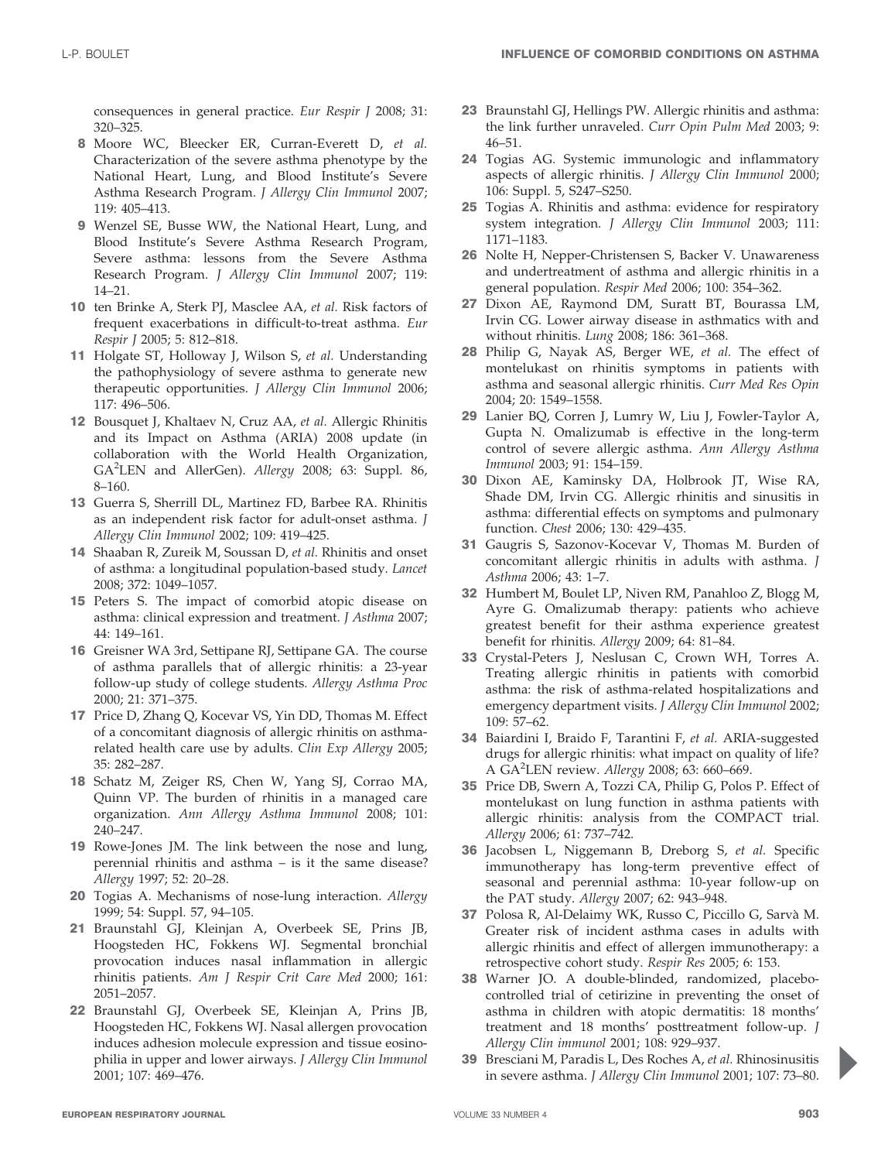consequences in general practice. Eur Respir J 2008; 31: 320–325.

- 8 Moore WC, Bleecker ER, Curran-Everett D, et al. Characterization of the severe asthma phenotype by the National Heart, Lung, and Blood Institute's Severe Asthma Research Program. J Allergy Clin Immunol 2007; 119: 405–413.
- 9 Wenzel SE, Busse WW, the National Heart, Lung, and Blood Institute's Severe Asthma Research Program, Severe asthma: lessons from the Severe Asthma Research Program. J Allergy Clin Immunol 2007; 119: 14–21.
- 10 ten Brinke A, Sterk PJ, Masclee AA, et al. Risk factors of frequent exacerbations in difficult-to-treat asthma. Eur Respir J 2005; 5: 812–818.
- 11 Holgate ST, Holloway J, Wilson S, et al. Understanding the pathophysiology of severe asthma to generate new therapeutic opportunities. J Allergy Clin Immunol 2006; 117: 496–506.
- 12 Bousquet J, Khaltaev N, Cruz AA, et al. Allergic Rhinitis and its Impact on Asthma (ARIA) 2008 update (in collaboration with the World Health Organization, GA<sup>2</sup>LEN and AllerGen). Allergy 2008; 63: Suppl. 86, 8–160.
- 13 Guerra S, Sherrill DL, Martinez FD, Barbee RA. Rhinitis as an independent risk factor for adult-onset asthma. J Allergy Clin Immunol 2002; 109: 419–425.
- 14 Shaaban R, Zureik M, Soussan D, et al. Rhinitis and onset of asthma: a longitudinal population-based study. Lancet 2008; 372: 1049–1057.
- 15 Peters S. The impact of comorbid atopic disease on asthma: clinical expression and treatment. J Asthma 2007; 44: 149–161.
- 16 Greisner WA 3rd, Settipane RJ, Settipane GA. The course of asthma parallels that of allergic rhinitis: a 23-year follow-up study of college students. Allergy Asthma Proc 2000; 21: 371–375.
- 17 Price D, Zhang Q, Kocevar VS, Yin DD, Thomas M. Effect of a concomitant diagnosis of allergic rhinitis on asthmarelated health care use by adults. Clin Exp Allergy 2005; 35: 282–287.
- 18 Schatz M, Zeiger RS, Chen W, Yang SJ, Corrao MA, Quinn VP. The burden of rhinitis in a managed care organization. Ann Allergy Asthma Immunol 2008; 101: 240–247.
- 19 Rowe-Jones JM. The link between the nose and lung, perennial rhinitis and asthma – is it the same disease? Allergy 1997; 52: 20–28.
- 20 Togias A. Mechanisms of nose-lung interaction. Allergy 1999; 54: Suppl. 57, 94–105.
- 21 Braunstahl GJ, Kleinjan A, Overbeek SE, Prins JB, Hoogsteden HC, Fokkens WJ. Segmental bronchial provocation induces nasal inflammation in allergic rhinitis patients. Am J Respir Crit Care Med 2000; 161: 2051–2057.
- 22 Braunstahl GJ, Overbeek SE, Kleinjan A, Prins JB, Hoogsteden HC, Fokkens WJ. Nasal allergen provocation induces adhesion molecule expression and tissue eosinophilia in upper and lower airways. J Allergy Clin Immunol 2001; 107: 469–476.
- 23 Braunstahl GJ, Hellings PW. Allergic rhinitis and asthma: the link further unraveled. Curr Opin Pulm Med 2003; 9: 46–51.
- 24 Togias AG. Systemic immunologic and inflammatory aspects of allergic rhinitis. J Allergy Clin Immunol 2000; 106: Suppl. 5, S247–S250.
- 25 Togias A. Rhinitis and asthma: evidence for respiratory system integration. J Allergy Clin Immunol 2003; 111: 1171–1183.
- 26 Nolte H, Nepper-Christensen S, Backer V. Unawareness and undertreatment of asthma and allergic rhinitis in a general population. Respir Med 2006; 100: 354–362.
- 27 Dixon AE, Raymond DM, Suratt BT, Bourassa LM, Irvin CG. Lower airway disease in asthmatics with and without rhinitis. Lung 2008; 186: 361–368.
- 28 Philip G, Nayak AS, Berger WE, et al. The effect of montelukast on rhinitis symptoms in patients with asthma and seasonal allergic rhinitis. Curr Med Res Opin 2004; 20: 1549–1558.
- 29 Lanier BQ, Corren J, Lumry W, Liu J, Fowler-Taylor A, Gupta N. Omalizumab is effective in the long-term control of severe allergic asthma. Ann Allergy Asthma Immunol 2003; 91: 154–159.
- 30 Dixon AE, Kaminsky DA, Holbrook JT, Wise RA, Shade DM, Irvin CG. Allergic rhinitis and sinusitis in asthma: differential effects on symptoms and pulmonary function. Chest 2006; 130: 429–435.
- 31 Gaugris S, Sazonov-Kocevar V, Thomas M. Burden of concomitant allergic rhinitis in adults with asthma. J Asthma 2006; 43: 1–7.
- 32 Humbert M, Boulet LP, Niven RM, Panahloo Z, Blogg M, Ayre G. Omalizumab therapy: patients who achieve greatest benefit for their asthma experience greatest benefit for rhinitis. Allergy 2009; 64: 81–84.
- 33 Crystal-Peters J, Neslusan C, Crown WH, Torres A. Treating allergic rhinitis in patients with comorbid asthma: the risk of asthma-related hospitalizations and emergency department visits. J Allergy Clin Immunol 2002; 109: 57–62.
- 34 Baiardini I, Braido F, Tarantini F, et al. ARIA-suggested drugs for allergic rhinitis: what impact on quality of life? A GA<sup>2</sup>LEN review. Allergy 2008; 63: 660-669.
- 35 Price DB, Swern A, Tozzi CA, Philip G, Polos P. Effect of montelukast on lung function in asthma patients with allergic rhinitis: analysis from the COMPACT trial. Allergy 2006; 61: 737–742.
- 36 Jacobsen L, Niggemann B, Dreborg S, et al. Specific immunotherapy has long-term preventive effect of seasonal and perennial asthma: 10-year follow-up on the PAT study. Allergy 2007; 62: 943–948.
- 37 Polosa R, Al-Delaimy WK, Russo C, Piccillo G, Sarvà M. Greater risk of incident asthma cases in adults with allergic rhinitis and effect of allergen immunotherapy: a retrospective cohort study. Respir Res 2005; 6: 153.
- 38 Warner JO. A double-blinded, randomized, placebocontrolled trial of cetirizine in preventing the onset of asthma in children with atopic dermatitis: 18 months' treatment and 18 months' posttreatment follow-up. J Allergy Clin immunol 2001; 108: 929–937.
- 39 Bresciani M, Paradis L, Des Roches A, et al. Rhinosinusitis in severe asthma. J Allergy Clin Immunol 2001; 107: 73–80.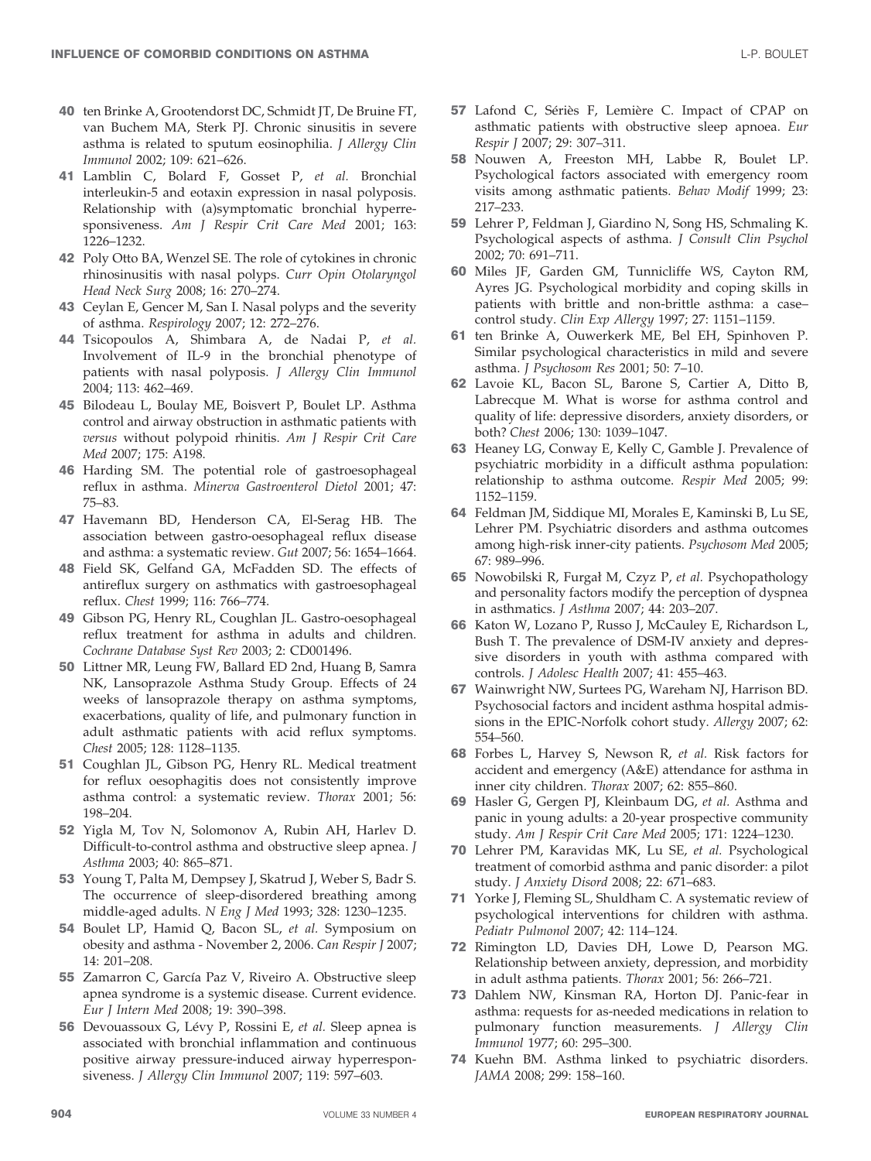- 40 ten Brinke A, Grootendorst DC, Schmidt JT, De Bruine FT, van Buchem MA, Sterk PJ. Chronic sinusitis in severe asthma is related to sputum eosinophilia. J Allergy Clin Immunol 2002; 109: 621–626.
- 41 Lamblin C, Bolard F, Gosset P, et al. Bronchial interleukin-5 and eotaxin expression in nasal polyposis. Relationship with (a)symptomatic bronchial hyperresponsiveness. Am J Respir Crit Care Med 2001; 163: 1226–1232.
- 42 Poly Otto BA, Wenzel SE. The role of cytokines in chronic rhinosinusitis with nasal polyps. Curr Opin Otolaryngol Head Neck Surg 2008; 16: 270–274.
- 43 Ceylan E, Gencer M, San I. Nasal polyps and the severity of asthma. Respirology 2007; 12: 272–276.
- 44 Tsicopoulos A, Shimbara A, de Nadai P, et al. Involvement of IL-9 in the bronchial phenotype of patients with nasal polyposis. J Allergy Clin Immunol 2004; 113: 462–469.
- 45 Bilodeau L, Boulay ME, Boisvert P, Boulet LP. Asthma control and airway obstruction in asthmatic patients with versus without polypoid rhinitis. Am J Respir Crit Care Med 2007; 175: A198.
- 46 Harding SM. The potential role of gastroesophageal reflux in asthma. Minerva Gastroenterol Dietol 2001; 47: 75–83.
- 47 Havemann BD, Henderson CA, El-Serag HB. The association between gastro-oesophageal reflux disease and asthma: a systematic review. Gut 2007; 56: 1654–1664.
- 48 Field SK, Gelfand GA, McFadden SD. The effects of antireflux surgery on asthmatics with gastroesophageal reflux. Chest 1999; 116: 766–774.
- 49 Gibson PG, Henry RL, Coughlan JL. Gastro-oesophageal reflux treatment for asthma in adults and children. Cochrane Database Syst Rev 2003; 2: CD001496.
- 50 Littner MR, Leung FW, Ballard ED 2nd, Huang B, Samra NK, Lansoprazole Asthma Study Group. Effects of 24 weeks of lansoprazole therapy on asthma symptoms, exacerbations, quality of life, and pulmonary function in adult asthmatic patients with acid reflux symptoms. Chest 2005; 128: 1128–1135.
- 51 Coughlan JL, Gibson PG, Henry RL. Medical treatment for reflux oesophagitis does not consistently improve asthma control: a systematic review. Thorax 2001; 56: 198–204.
- 52 Yigla M, Tov N, Solomonov A, Rubin AH, Harlev D. Difficult-to-control asthma and obstructive sleep apnea. J Asthma 2003; 40: 865–871.
- 53 Young T, Palta M, Dempsey J, Skatrud J, Weber S, Badr S. The occurrence of sleep-disordered breathing among middle-aged adults. N Eng J Med 1993; 328: 1230–1235.
- 54 Boulet LP, Hamid Q, Bacon SL, et al. Symposium on obesity and asthma - November 2, 2006. Can Respir J 2007; 14: 201–208.
- 55 Zamarron C, García Paz V, Riveiro A. Obstructive sleep apnea syndrome is a systemic disease. Current evidence. Eur J Intern Med 2008; 19: 390–398.
- 56 Devouassoux G, Lévy P, Rossini E, et al. Sleep apnea is associated with bronchial inflammation and continuous positive airway pressure-induced airway hyperresponsiveness. J Allergy Clin Immunol 2007; 119: 597–603.
- 57 Lafond C, Sériès F, Lemière C. Impact of CPAP on asthmatic patients with obstructive sleep apnoea. Eur Respir J 2007; 29: 307–311.
- 58 Nouwen A, Freeston MH, Labbe R, Boulet LP. Psychological factors associated with emergency room visits among asthmatic patients. Behav Modif 1999; 23: 217–233.
- 59 Lehrer P, Feldman J, Giardino N, Song HS, Schmaling K. Psychological aspects of asthma. J Consult Clin Psychol 2002; 70: 691–711.
- 60 Miles JF, Garden GM, Tunnicliffe WS, Cayton RM, Ayres JG. Psychological morbidity and coping skills in patients with brittle and non-brittle asthma: a case– control study. Clin Exp Allergy 1997; 27: 1151–1159.
- 61 ten Brinke A, Ouwerkerk ME, Bel EH, Spinhoven P. Similar psychological characteristics in mild and severe asthma. J Psychosom Res 2001; 50: 7–10.
- 62 Lavoie KL, Bacon SL, Barone S, Cartier A, Ditto B, Labrecque M. What is worse for asthma control and quality of life: depressive disorders, anxiety disorders, or both? Chest 2006; 130: 1039–1047.
- 63 Heaney LG, Conway E, Kelly C, Gamble J. Prevalence of psychiatric morbidity in a difficult asthma population: relationship to asthma outcome. Respir Med 2005; 99: 1152–1159.
- 64 Feldman JM, Siddique MI, Morales E, Kaminski B, Lu SE, Lehrer PM. Psychiatric disorders and asthma outcomes among high-risk inner-city patients. Psychosom Med 2005; 67: 989–996.
- 65 Nowobilski R, Furgał M, Czyz P, et al. Psychopathology and personality factors modify the perception of dyspnea in asthmatics. J Asthma 2007; 44: 203–207.
- 66 Katon W, Lozano P, Russo J, McCauley E, Richardson L, Bush T. The prevalence of DSM-IV anxiety and depressive disorders in youth with asthma compared with controls. J Adolesc Health 2007; 41: 455–463.
- 67 Wainwright NW, Surtees PG, Wareham NJ, Harrison BD. Psychosocial factors and incident asthma hospital admissions in the EPIC-Norfolk cohort study. Allergy 2007; 62: 554–560.
- 68 Forbes L, Harvey S, Newson R, et al. Risk factors for accident and emergency (A&E) attendance for asthma in inner city children. Thorax 2007; 62: 855–860.
- 69 Hasler G, Gergen PJ, Kleinbaum DG, et al. Asthma and panic in young adults: a 20-year prospective community study. Am J Respir Crit Care Med 2005; 171: 1224–1230.
- 70 Lehrer PM, Karavidas MK, Lu SE, et al. Psychological treatment of comorbid asthma and panic disorder: a pilot study. J Anxiety Disord 2008; 22: 671–683.
- 71 Yorke J, Fleming SL, Shuldham C. A systematic review of psychological interventions for children with asthma. Pediatr Pulmonol 2007; 42: 114–124.
- 72 Rimington LD, Davies DH, Lowe D, Pearson MG. Relationship between anxiety, depression, and morbidity in adult asthma patients. Thorax 2001; 56: 266–721.
- 73 Dahlem NW, Kinsman RA, Horton DJ. Panic-fear in asthma: requests for as-needed medications in relation to pulmonary function measurements. J Allergy Clin Immunol 1977; 60: 295–300.
- 74 Kuehn BM. Asthma linked to psychiatric disorders. JAMA 2008; 299: 158–160.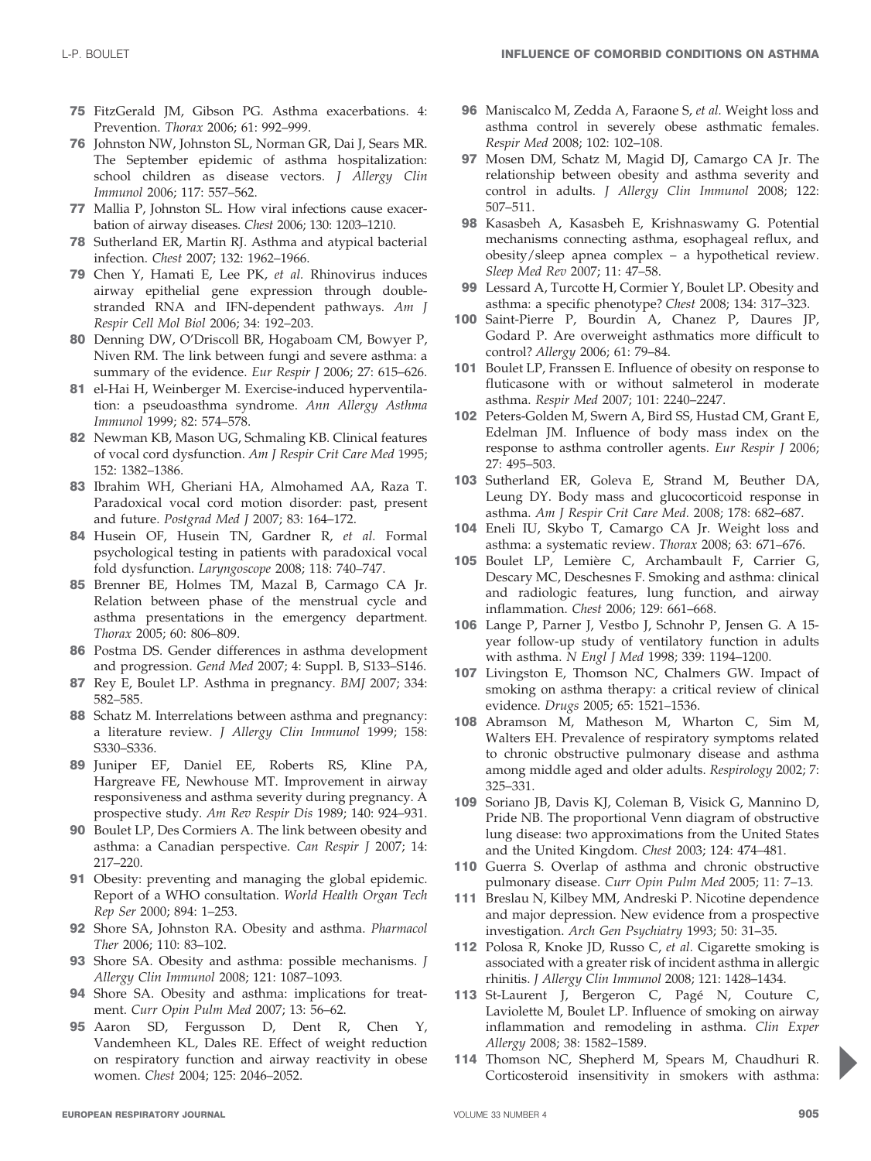- 75 FitzGerald JM, Gibson PG. Asthma exacerbations. 4: Prevention. Thorax 2006; 61: 992–999.
- 76 Johnston NW, Johnston SL, Norman GR, Dai J, Sears MR. The September epidemic of asthma hospitalization: school children as disease vectors. J Allergy Clin Immunol 2006; 117: 557–562.
- 77 Mallia P, Johnston SL. How viral infections cause exacerbation of airway diseases. Chest 2006; 130: 1203–1210.
- 78 Sutherland ER, Martin RJ. Asthma and atypical bacterial infection. Chest 2007; 132: 1962–1966.
- 79 Chen Y, Hamati E, Lee PK, et al. Rhinovirus induces airway epithelial gene expression through doublestranded RNA and IFN-dependent pathways. Am J Respir Cell Mol Biol 2006; 34: 192–203.
- 80 Denning DW, O'Driscoll BR, Hogaboam CM, Bowyer P, Niven RM. The link between fungi and severe asthma: a summary of the evidence. Eur Respir J 2006; 27: 615-626.
- 81 el-Hai H, Weinberger M. Exercise-induced hyperventilation: a pseudoasthma syndrome. Ann Allergy Asthma Immunol 1999; 82: 574–578.
- 82 Newman KB, Mason UG, Schmaling KB. Clinical features of vocal cord dysfunction. Am J Respir Crit Care Med 1995; 152: 1382–1386.
- 83 Ibrahim WH, Gheriani HA, Almohamed AA, Raza T. Paradoxical vocal cord motion disorder: past, present and future. Postgrad Med J 2007; 83: 164–172.
- 84 Husein OF, Husein TN, Gardner R, et al. Formal psychological testing in patients with paradoxical vocal fold dysfunction. Laryngoscope 2008; 118: 740–747.
- 85 Brenner BE, Holmes TM, Mazal B, Carmago CA Jr. Relation between phase of the menstrual cycle and asthma presentations in the emergency department. Thorax 2005; 60: 806–809.
- 86 Postma DS. Gender differences in asthma development and progression. Gend Med 2007; 4: Suppl. B, S133–S146.
- 87 Rey E, Boulet LP. Asthma in pregnancy. BMJ 2007; 334: 582–585.
- 88 Schatz M. Interrelations between asthma and pregnancy: a literature review. J Allergy Clin Immunol 1999; 158: S330–S336.
- 89 Juniper EF, Daniel EE, Roberts RS, Kline PA, Hargreave FE, Newhouse MT. Improvement in airway responsiveness and asthma severity during pregnancy. A prospective study. Am Rev Respir Dis 1989; 140: 924–931.
- 90 Boulet LP, Des Cormiers A. The link between obesity and asthma: a Canadian perspective. Can Respir J 2007; 14: 217–220.
- 91 Obesity: preventing and managing the global epidemic. Report of a WHO consultation. World Health Organ Tech Rep Ser 2000; 894: 1–253.
- 92 Shore SA, Johnston RA. Obesity and asthma. Pharmacol Ther 2006; 110: 83–102.
- 93 Shore SA. Obesity and asthma: possible mechanisms. J Allergy Clin Immunol 2008; 121: 1087–1093.
- 94 Shore SA. Obesity and asthma: implications for treatment. Curr Opin Pulm Med 2007; 13: 56–62.
- 95 Aaron SD, Fergusson D, Dent R, Chen Y, Vandemheen KL, Dales RE. Effect of weight reduction on respiratory function and airway reactivity in obese women. Chest 2004; 125: 2046–2052.
- 96 Maniscalco M, Zedda A, Faraone S, et al. Weight loss and asthma control in severely obese asthmatic females. Respir Med 2008; 102: 102–108.
- 97 Mosen DM, Schatz M, Magid DJ, Camargo CA Jr. The relationship between obesity and asthma severity and control in adults. J Allergy Clin Immunol 2008; 122: 507–511.
- 98 Kasasbeh A, Kasasbeh E, Krishnaswamy G. Potential mechanisms connecting asthma, esophageal reflux, and obesity/sleep apnea complex – a hypothetical review. Sleep Med Rev 2007; 11: 47–58.
- 99 Lessard A, Turcotte H, Cormier Y, Boulet LP. Obesity and asthma: a specific phenotype? Chest 2008; 134: 317–323.
- 100 Saint-Pierre P, Bourdin A, Chanez P, Daures JP, Godard P. Are overweight asthmatics more difficult to control? Allergy 2006; 61: 79–84.
- 101 Boulet LP, Franssen E. Influence of obesity on response to fluticasone with or without salmeterol in moderate asthma. Respir Med 2007; 101: 2240–2247.
- 102 Peters-Golden M, Swern A, Bird SS, Hustad CM, Grant E, Edelman JM. Influence of body mass index on the response to asthma controller agents. Eur Respir J 2006; 27: 495–503.
- 103 Sutherland ER, Goleva E, Strand M, Beuther DA, Leung DY. Body mass and glucocorticoid response in asthma. Am J Respir Crit Care Med. 2008; 178: 682–687.
- 104 Eneli IU, Skybo T, Camargo CA Jr. Weight loss and asthma: a systematic review. Thorax 2008; 63: 671–676.
- 105 Boulet LP, Lemière C, Archambault F, Carrier G, Descary MC, Deschesnes F. Smoking and asthma: clinical and radiologic features, lung function, and airway inflammation. Chest 2006; 129: 661–668.
- 106 Lange P, Parner J, Vestbo J, Schnohr P, Jensen G. A 15 year follow-up study of ventilatory function in adults with asthma. N Engl J Med 1998; 339: 1194–1200.
- 107 Livingston E, Thomson NC, Chalmers GW. Impact of smoking on asthma therapy: a critical review of clinical evidence. Drugs 2005; 65: 1521–1536.
- 108 Abramson M, Matheson M, Wharton C, Sim M, Walters EH. Prevalence of respiratory symptoms related to chronic obstructive pulmonary disease and asthma among middle aged and older adults. Respirology 2002; 7: 325–331.
- 109 Soriano JB, Davis KJ, Coleman B, Visick G, Mannino D, Pride NB. The proportional Venn diagram of obstructive lung disease: two approximations from the United States and the United Kingdom. Chest 2003; 124: 474–481.
- 110 Guerra S. Overlap of asthma and chronic obstructive pulmonary disease. Curr Opin Pulm Med 2005; 11: 7–13.
- 111 Breslau N, Kilbey MM, Andreski P. Nicotine dependence and major depression. New evidence from a prospective investigation. Arch Gen Psychiatry 1993; 50: 31–35.
- 112 Polosa R, Knoke JD, Russo C, et al. Cigarette smoking is associated with a greater risk of incident asthma in allergic rhinitis. J Allergy Clin Immunol 2008; 121: 1428–1434.
- 113 St-Laurent J, Bergeron C, Pagé N, Couture C, Laviolette M, Boulet LP. Influence of smoking on airway inflammation and remodeling in asthma. Clin Exper Allergy 2008; 38: 1582–1589.
- 114 Thomson NC, Shepherd M, Spears M, Chaudhuri R. Corticosteroid insensitivity in smokers with asthma: